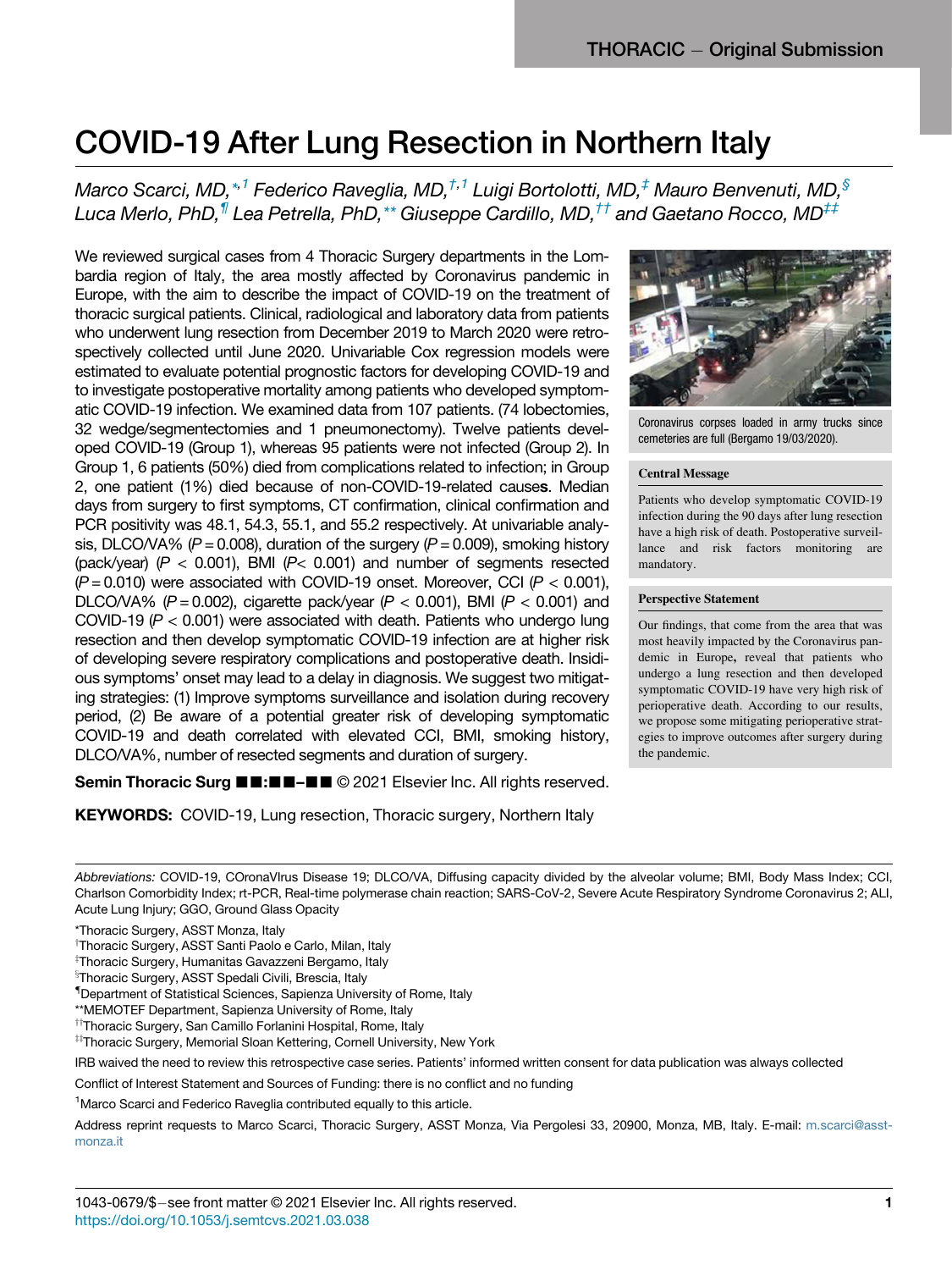# COVID-19 After Lung Reserve Lung Reserve Lung Reserve Lung Reserve Lung Reserve Lung Reserve Lung Reserve Lung Reserve Lung Reserve Lung Reserve Lung Reserve Lung Reserve Lung Reserve Lung Reserve Lung Reserve Lung Reserve

Marco Scarci, MD, $^{\ast,1}$  $^{\ast,1}$  $^{\ast,1}$  Federico Raveglia, MD, $^{\dag,1}$  $^{\dag,1}$  $^{\dag,1}$  Luigi Bortolotti, MD, $^{\ddag}$  Mauro Benvenuti, MD, $^{\$}$ Luca Merlo, PhD,<sup>1</sup> Lea Petrella, PhD,\*\* Giuseppe Cardillo, MD,<sup>††</sup> and Gaetano Rocco, MD<sup>‡‡</sup>

We reviewed surgical cases from 4 Thoracic Surgery departments in the Lombardia region of Italy, the area mostly affected by Coronavirus pandemic in Europe, with the aim to describe the impact of COVID-19 on the treatment of thoracic surgical patients. Clinical, radiological and laboratory data from patients who underwent lung resection from December 2019 to March 2020 were retrospectively collected until June 2020. Univariable Cox regression models were estimated to evaluate potential prognostic factors for developing COVID-19 and to investigate postoperative mortality among patients who developed symptomatic COVID-19 infection. We examined data from 107 patients. (74 lobectomies, 32 wedge/segmentectomies and 1 pneumonectomy). Twelve patients developed COVID-19 (Group 1), whereas 95 patients were not infected (Group 2). In Group 1, 6 patients (50%) died from complications related to infection; in Group 2, one patient (1%) died because of non-COVID-19-related causes. Median days from surgery to first symptoms, CT confirmation, clinical confirmation and PCR positivity was 48.1, 54.3, 55.1, and 55.2 respectively. At univariable analysis, DLCO/VA% ( $P = 0.008$ ), duration of the surgery ( $P = 0.009$ ), smoking history (pack/year)  $(P < 0.001)$ , BMI  $(P < 0.001)$  and number of segments resected  $(P = 0.010)$  were associated with COVID-19 onset. Moreover, CCI ( $P < 0.001$ ), DLCO/VA% ( $P = 0.002$ ), cigarette pack/year ( $P < 0.001$ ), BMI ( $P < 0.001$ ) and COVID-19 ( $P < 0.001$ ) were associated with death. Patients who undergo lung resection and then develop symptomatic COVID-19 infection are at higher risk of developing severe respiratory complications and postoperative death. Insidious symptoms' onset may lead to a delay in diagnosis. We suggest two mitigating strategies: (1) Improve symptoms surveillance and isolation during recovery period, (2) Be aware of a potential greater risk of developing symptomatic COVID-19 and death correlated with elevated CCI, BMI, smoking history, DLCO/VA%, number of resected segments and duration of surgery.



Coronavirus corpses loaded in army trucks since cemeteries are full (Bergamo 19/03/2020).

## Central Message

Patients who develop symptomatic COVID-19 infection during the 90 days after lung resection have a high risk of death. Postoperative surveillance and risk factors monitoring are mandatory.

#### Perspective Statement

Our findings, that come from the area that was most heavily impacted by the Coronavirus pandemic in Europe, reveal that patients who undergo a lung resection and then developed symptomatic COVID-19 have very high risk of perioperative death. According to our results, we propose some mitigating perioperative strategies to improve outcomes after surgery during the pandemic.

Semin Thoracic Surg ■■:■■–■■ © 2021 Elsevier Inc. All rights reserved.

**KEYWORDS:** COVID-19, Lung resection, Thoracic surgery, Northern Italy

IRB waived the need to review this retrospective case series. Patients' informed written consent for data publication was always collected

Conflict of Interest Statement and Sources of Funding: there is no conflict and no funding

<span id="page-0-0"></span><sup>1</sup>Marco Scarci and Federico Raveglia contributed equally to this article.

Address reprint requests to Marco Scarci, Thoracic Surgery, ASST Monza, Via Pergolesi 33, 20900, Monza, MB, Italy. E-mail: [m.scarci@asst](mailto:m.scarci@asst-monza.it)[monza.it](mailto:m.scarci@asst-monza.it)

Abbreviations: COVID-19, COronaVIrus Disease 19; DLCO/VA, Diffusing capacity divided by the alveolar volume; BMI, Body Mass Index; CCI, Charlson Comorbidity Index; rt-PCR, Real-time polymerase chain reaction; SARS-CoV-2, Severe Acute Respiratory Syndrome Coronavirus 2; ALI, Acute Lung Injury; GGO, Ground Glass Opacity

<sup>\*</sup>Thoracic Surgery, ASST Monza, Italy

<sup>&</sup>lt;sup>†</sup>Thoracic Surgery, ASST Santi Paolo e Carlo, Milan, Italy

z Thoracic Surgery, Humanitas Gavazzeni Bergamo, Italy

<sup>&</sup>lt;sup>§</sup>Thoracic Surgery, ASST Spedali Civili, Brescia, Italy

<sup>{</sup> Department of Statistical Sciences, Sapienza University of Rome, Italy

<sup>\*\*</sup>MEMOTEF Department, Sapienza University of Rome, Italy

<sup>&</sup>lt;sup>††</sup>Thoracic Surgery, San Camillo Forlanini Hospital, Rome, Italy

<sup>#</sup>Thoracic Surgery, Memorial Sloan Kettering, Cornell University, New York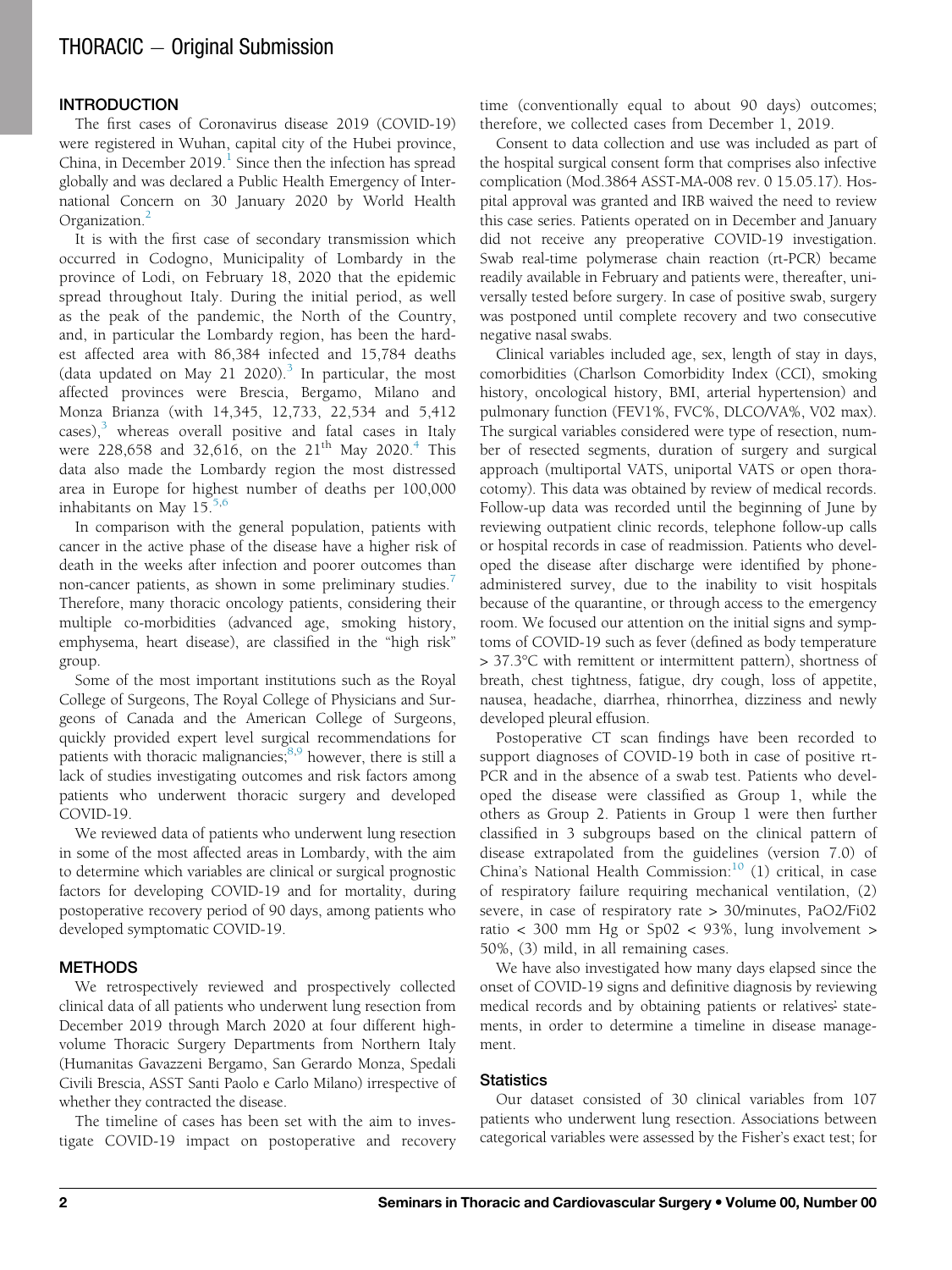# $THORACIC - Original Submission$

The first cases of Coronavirus disease 2019 (COVID-19) were registered in Wuhan, capital city of the Hubei province, China, in December 20[1](#page-5-0)9. $<sup>1</sup>$  Since then the infection has spread</sup> globally and was declared a Public Health Emergency of International Concern on 30 January 2020 by World Health Organization.[2](#page-5-1)

It is with the first case of secondary transmission which occurred in Codogno, Municipality of Lombardy in the province of Lodi, on February 18, 2020 that the epidemic spread throughout Italy. During the initial period, as well as the peak of the pandemic, the North of the Country, and, in particular the Lombardy region, has been the hardest affected area with 86,384 infected and 15,784 deaths (data updated on May 21 2020).<sup>[3](#page-5-2)</sup> In particular, the most affected provinces were Brescia, Bergamo, Milano and Monza Brianza (with 14,345, 12,733, 22,534 and 5,412  $\csc$ ),<sup>[3](#page-5-2)</sup> whereas overall positive and fatal cases in Italy were 228,658 and 32,616, on the  $21^{th}$  May 2020.<sup>[4](#page-5-3)</sup> This data also made the Lombardy region the most distressed area in Europe for highest number of deaths per 100,000 inhabitants on May  $15^{5,6}$  $15^{5,6}$  $15^{5,6}$  $15^{5,6}$ 

In comparison with the general population, patients with cancer in the active phase of the disease have a higher risk of death in the weeks after infection and poorer outcomes than non-cancer patients, as shown in some preliminary studies.<sup>[7](#page-5-6)</sup> Therefore, many thoracic oncology patients, considering their multiple co-morbidities (advanced age, smoking history, emphysema, heart disease), are classified in the "high risk" group.

Some of the most important institutions such as the Royal College of Surgeons, The Royal College of Physicians and Surgeons of Canada and the American College of Surgeons, quickly provided expert level surgical recommendations for patients with thoracic malignancies; $8,9$  $8,9$  however, there is still a lack of studies investigating outcomes and risk factors among patients who underwent thoracic surgery and developed COVID-19.

We reviewed data of patients who underwent lung resection in some of the most affected areas in Lombardy, with the aim to determine which variables are clinical or surgical prognostic factors for developing COVID-19 and for mortality, during postoperative recovery period of 90 days, among patients who developed symptomatic COVID-19.

#### **METHODS**

We retrospectively reviewed and prospectively collected clinical data of all patients who underwent lung resection from December 2019 through March 2020 at four different highvolume Thoracic Surgery Departments from Northern Italy (Humanitas Gavazzeni Bergamo, San Gerardo Monza, Spedali Civili Brescia, ASST Santi Paolo e Carlo Milano) irrespective of whether they contracted the disease.

The timeline of cases has been set with the aim to investigate COVID-19 impact on postoperative and recovery

time (conventionally equal to about 90 days) outcomes; therefore, we collected cases from December 1, 2019.

Consent to data collection and use was included as part of the hospital surgical consent form that comprises also infective complication (Mod.3864 ASST-MA-008 rev. 0 15.05.17). Hospital approval was granted and IRB waived the need to review this case series. Patients operated on in December and January did not receive any preoperative COVID-19 investigation. Swab real-time polymerase chain reaction (rt-PCR) became readily available in February and patients were, thereafter, universally tested before surgery. In case of positive swab, surgery was postponed until complete recovery and two consecutive negative nasal swabs.

Clinical variables included age, sex, length of stay in days, comorbidities (Charlson Comorbidity Index (CCI), smoking history, oncological history, BMI, arterial hypertension) and pulmonary function (FEV1%, FVC%, DLCO/VA%, V02 max). The surgical variables considered were type of resection, number of resected segments, duration of surgery and surgical approach (multiportal VATS, uniportal VATS or open thoracotomy). This data was obtained by review of medical records. Follow-up data was recorded until the beginning of June by reviewing outpatient clinic records, telephone follow-up calls or hospital records in case of readmission. Patients who developed the disease after discharge were identified by phoneadministered survey, due to the inability to visit hospitals because of the quarantine, or through access to the emergency room. We focused our attention on the initial signs and symptoms of COVID-19 such as fever (defined as body temperature > 37.3°C with remittent or intermittent pattern), shortness of breath, chest tightness, fatigue, dry cough, loss of appetite, nausea, headache, diarrhea, rhinorrhea, dizziness and newly developed pleural effusion.

Postoperative CT scan findings have been recorded to support diagnoses of COVID-19 both in case of positive rt-PCR and in the absence of a swab test. Patients who developed the disease were classified as Group 1, while the others as Group 2. Patients in Group 1 were then further classified in 3 subgroups based on the clinical pattern of disease extrapolated from the guidelines (version 7.0) of China's National Health Commission: $10$  (1) critical, in case of respiratory failure requiring mechanical ventilation, (2) severe, in case of respiratory rate > 30/minutes, PaO2/Fi02 ratio < 300 mm Hg or Sp02 < 93%, lung involvement > 50%, (3) mild, in all remaining cases.

We have also investigated how many days elapsed since the onset of COVID-19 signs and definitive diagnosis by reviewing medical records and by obtaining patients or relatives' statements, in order to determine a timeline in disease management.

## **Statistics**

Our dataset consisted of 30 clinical variables from 107 patients who underwent lung resection. Associations between categorical variables were assessed by the Fisher's exact test; for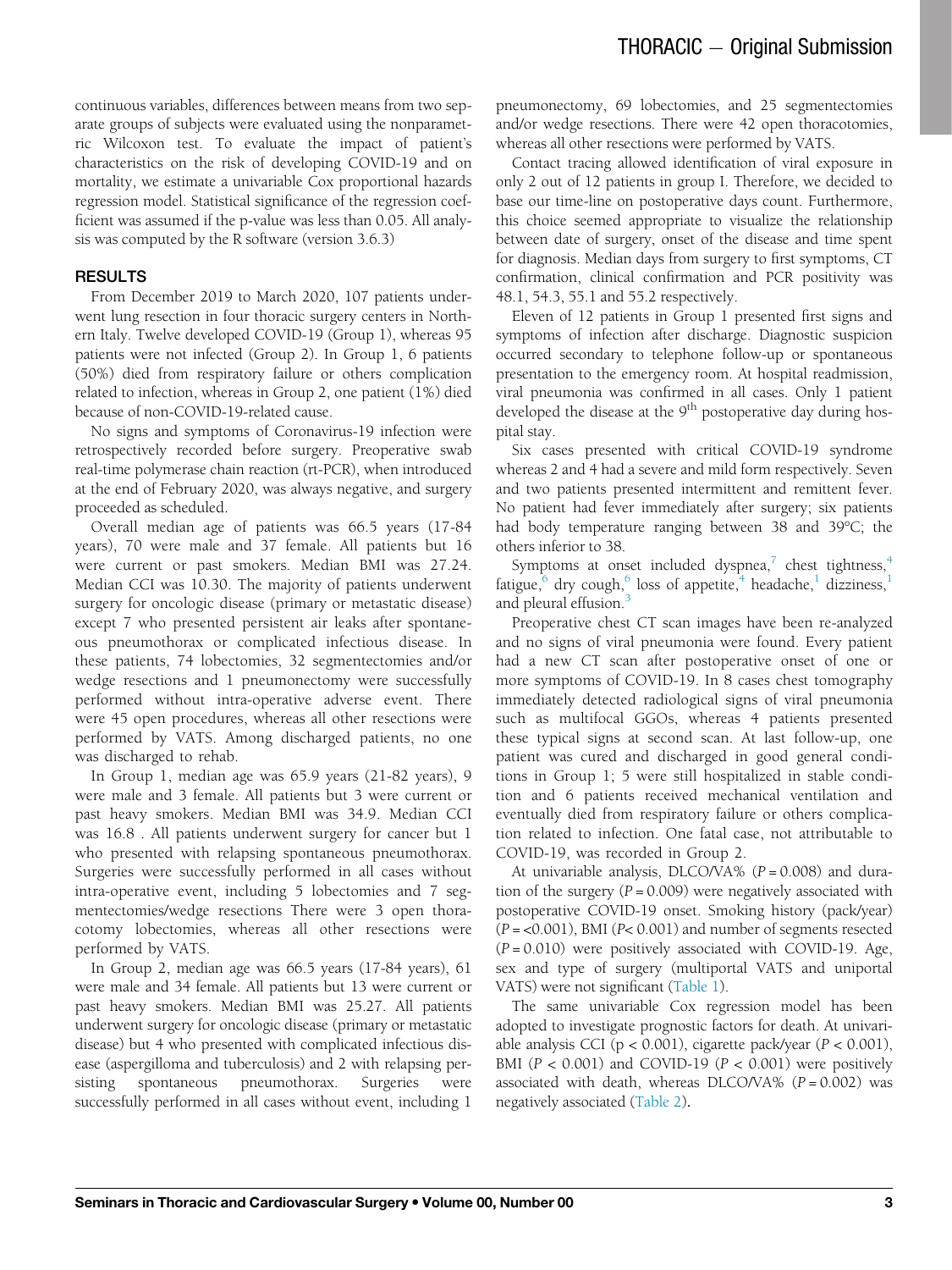continuous variables, differences between means from two separate groups of subjects were evaluated using the nonparametric Wilcoxon test. To evaluate the impact of patient's characteristics on the risk of developing COVID-19 and on mortality, we estimate a univariable Cox proportional hazards regression model. Statistical significance of the regression coefficient was assumed if the p-value was less than 0.05. All analysis was computed by the R software (version 3.6.3)

## **RESULTS**

From December 2019 to March 2020, 107 patients underwent lung resection in four thoracic surgery centers in Northern Italy. Twelve developed COVID-19 (Group 1), whereas 95 patients were not infected (Group 2). In Group 1, 6 patients (50%) died from respiratory failure or others complication related to infection, whereas in Group 2, one patient (1%) died because of non-COVID-19-related cause.

No signs and symptoms of Coronavirus-19 infection were retrospectively recorded before surgery. Preoperative swab real-time polymerase chain reaction (rt-PCR), when introduced at the end of February 2020, was always negative, and surgery proceeded as scheduled.

Overall median age of patients was 66.5 years (17-84 years), 70 were male and 37 female. All patients but 16 were current or past smokers. Median BMI was 27.24. Median CCI was 10.30. The majority of patients underwent surgery for oncologic disease (primary or metastatic disease) except 7 who presented persistent air leaks after spontaneous pneumothorax or complicated infectious disease. In these patients, 74 lobectomies, 32 segmentectomies and/or wedge resections and 1 pneumonectomy were successfully performed without intra-operative adverse event. There were 45 open procedures, whereas all other resections were performed by VATS. Among discharged patients, no one was discharged to rehab.

In Group 1, median age was 65.9 years (21-82 years), 9 were male and 3 female. All patients but 3 were current or past heavy smokers. Median BMI was 34.9. Median CCI was 16.8 . All patients underwent surgery for cancer but 1 who presented with relapsing spontaneous pneumothorax. Surgeries were successfully performed in all cases without intra-operative event, including 5 lobectomies and 7 segmentectomies/wedge resections There were 3 open thoracotomy lobectomies, whereas all other resections were performed by VATS.

In Group 2, median age was 66.5 years (17-84 years), 61 were male and 34 female. All patients but 13 were current or past heavy smokers. Median BMI was 25.27. All patients underwent surgery for oncologic disease (primary or metastatic disease) but 4 who presented with complicated infectious disease (aspergilloma and tuberculosis) and 2 with relapsing persisting spontaneous pneumothorax. Surgeries were successfully performed in all cases without event, including 1

pneumonectomy, 69 lobectomies, and 25 segmentectomies and/or wedge resections. There were 42 open thoracotomies, whereas all other resections were performed by VATS.

Contact tracing allowed identification of viral exposure in only 2 out of 12 patients in group I. Therefore, we decided to base our time-line on postoperative days count. Furthermore, this choice seemed appropriate to visualize the relationship between date of surgery, onset of the disease and time spent for diagnosis. Median days from surgery to first symptoms, CT confirmation, clinical confirmation and PCR positivity was 48.1, 54.3, 55.1 and 55.2 respectively.

Eleven of 12 patients in Group 1 presented first signs and symptoms of infection after discharge. Diagnostic suspicion occurred secondary to telephone follow-up or spontaneous presentation to the emergency room. At hospital readmission, viral pneumonia was confirmed in all cases. Only 1 patient developed the disease at the  $9<sup>th</sup>$  postoperative day during hospital stay.

Six cases presented with critical COVID-19 syndrome whereas 2 and 4 had a severe and mild form respectively. Seven and two patients presented intermittent and remittent fever. No patient had fever immediately after surgery; six patients had body temperature ranging between 38 and 39°C; the others inferior to 38.

Symptoms at onset included dyspnea, $\bar{i}$  chest tightness, $\bar{i}$ fatigue, $^6$  $^6$  dry cough, $^6$  loss of appetite, $^4$  headache, $^1$  $^1$  dizziness, and pleural effusion.<sup>[3](#page-5-2)</sup>

Preoperative chest CT scan images have been re-analyzed and no signs of viral pneumonia were found. Every patient had a new CT scan after postoperative onset of one or more symptoms of COVID-19. In 8 cases chest tomography immediately detected radiological signs of viral pneumonia such as multifocal GGOs, whereas 4 patients presented these typical signs at second scan. At last follow-up, one patient was cured and discharged in good general conditions in Group 1; 5 were still hospitalized in stable condition and 6 patients received mechanical ventilation and eventually died from respiratory failure or others complication related to infection. One fatal case, not attributable to COVID-19, was recorded in Group 2.

At univariable analysis, DLCO/VA%  $(P = 0.008)$  and duration of the surgery  $(P = 0.009)$  were negatively associated with postoperative COVID-19 onset. Smoking history (pack/year)  $(P = < 0.001)$ , BMI (P< 0.001) and number of segments resected  $(P = 0.010)$  were positively associated with COVID-19. Age, sex and type of surgery (multiportal VATS and uniportal VATS) were not significant [\(Table 1](#page-3-0)).

The same univariable Cox regression model has been adopted to investigate prognostic factors for death. At univariable analysis CCI ( $p < 0.001$ ), cigarette pack/year ( $P < 0.001$ ), BMI ( $P < 0.001$ ) and COVID-19 ( $P < 0.001$ ) were positively associated with death, whereas DLCO/VA%  $(P = 0.002)$  was negatively associated [\(Table 2](#page-3-1)).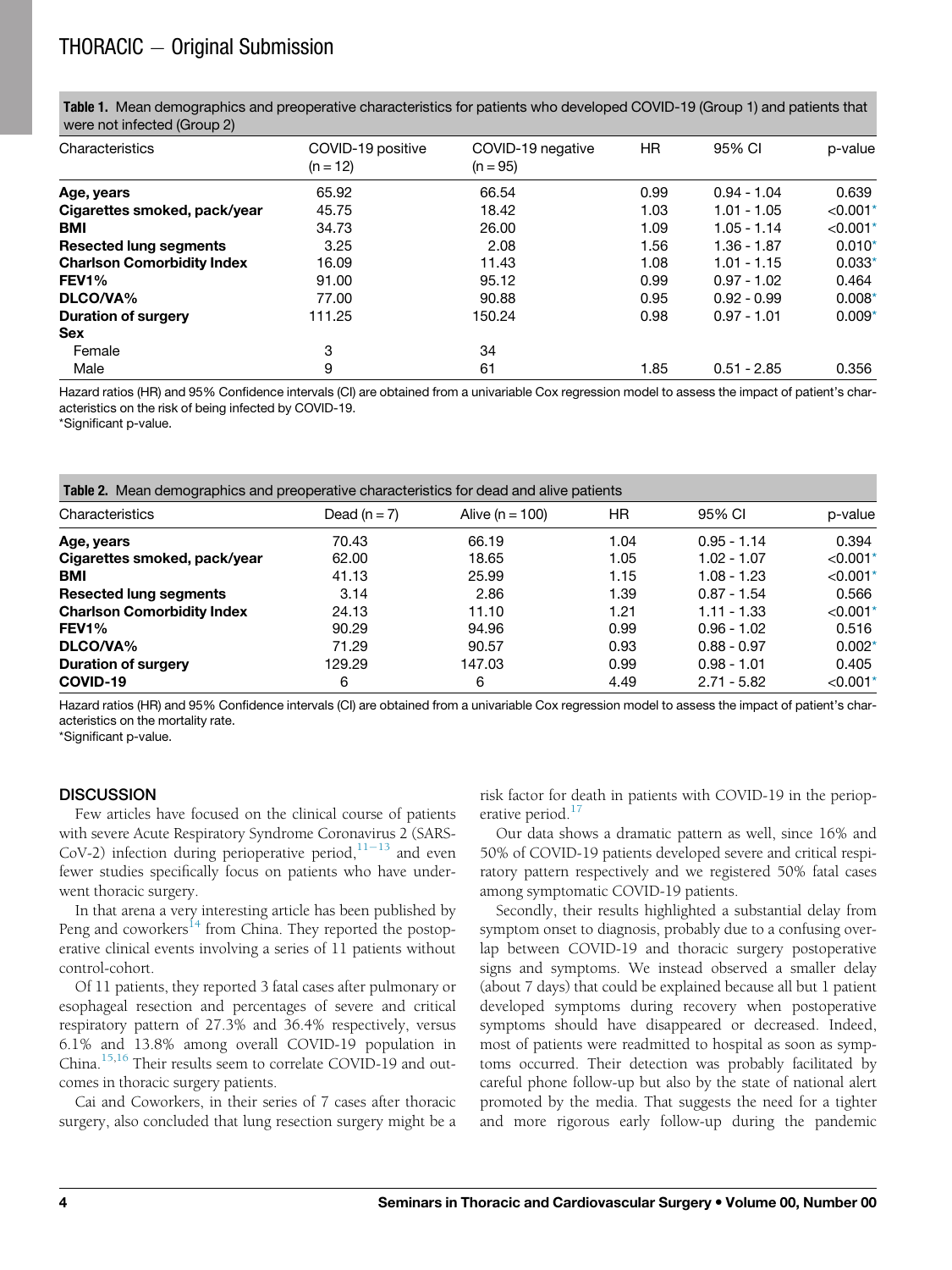<span id="page-3-0"></span>Table 1. Mean demographics and preoperative characteristics for patients who developed COVID-19 (Group 1) and patients that were not infected (Group 2)

| Characteristics                   | COVID-19 positive<br>$(n = 12)$ | COVID-19 negative<br>$(n = 95)$ | HR   | 95% CI<br>$0.94 - 1.04$ | p-value<br>0.639 |
|-----------------------------------|---------------------------------|---------------------------------|------|-------------------------|------------------|
| Age, years                        | 65.92                           | 66.54                           | 0.99 |                         |                  |
| Cigarettes smoked, pack/year      | 45.75                           | 18.42                           | 1.03 | $1.01 - 1.05$           | $< 0.001*$       |
| <b>BMI</b>                        | 34.73                           | 26.00                           | 1.09 | $1.05 - 1.14$           | $< 0.001*$       |
| <b>Resected lung segments</b>     | 3.25                            | 2.08                            | 1.56 | $1.36 - 1.87$           | $0.010*$         |
| <b>Charlson Comorbidity Index</b> | 16.09                           | 11.43                           | 1.08 | $1.01 - 1.15$           | $0.033*$         |
| <b>FEV1%</b>                      | 91.00                           | 95.12                           | 0.99 | $0.97 - 1.02$           | 0.464            |
| DLCO/VA%                          | 77.00                           | 90.88                           | 0.95 | $0.92 - 0.99$           | $0.008*$         |
| <b>Duration of surgery</b>        | 111.25                          | 150.24                          | 0.98 | $0.97 - 1.01$           | $0.009*$         |
| <b>Sex</b>                        |                                 |                                 |      |                         |                  |
| Female                            | 3                               | 34                              |      |                         |                  |
| Male                              | 9                               | 61                              | 1.85 | $0.51 - 2.85$           | 0.356            |

Hazard ratios (HR) and 95% Confidence intervals (CI) are obtained from a univariable Cox regression model to assess the impact of patient's characteristics on the risk of being infected by COVID-19.

<span id="page-3-3"></span>\*Significant p-value.

<span id="page-3-1"></span>

| Table 2. Mean demographics and preoperative characteristics for dead and alive patients |                |                     |      |               |            |  |  |  |
|-----------------------------------------------------------------------------------------|----------------|---------------------|------|---------------|------------|--|--|--|
| Characteristics                                                                         | Dead $(n = 7)$ | Alive ( $n = 100$ ) | HR   | 95% CI        | p-value    |  |  |  |
| Age, years                                                                              | 70.43          | 66.19               | 1.04 | $0.95 - 1.14$ | 0.394      |  |  |  |
| Cigarettes smoked, pack/year                                                            | 62.00          | 18.65               | 1.05 | $1.02 - 1.07$ | $< 0.001*$ |  |  |  |
| <b>BMI</b>                                                                              | 41.13          | 25.99               | 1.15 | $1.08 - 1.23$ | $< 0.001*$ |  |  |  |
| <b>Resected lung segments</b>                                                           | 3.14           | 2.86                | 1.39 | $0.87 - 1.54$ | 0.566      |  |  |  |
| <b>Charlson Comorbidity Index</b>                                                       | 24.13          | 11.10               | 1.21 | $1.11 - 1.33$ | $< 0.001*$ |  |  |  |
| <b>FEV1%</b>                                                                            | 90.29          | 94.96               | 0.99 | $0.96 - 1.02$ | 0.516      |  |  |  |
| DLCO/VA%                                                                                | 71.29          | 90.57               | 0.93 | $0.88 - 0.97$ | $0.002*$   |  |  |  |
| Duration of surgery                                                                     | 129.29         | 147.03              | 0.99 | $0.98 - 1.01$ | 0.405      |  |  |  |
| COVID-19                                                                                | 6              | 6                   | 4.49 | $2.71 - 5.82$ | $< 0.001*$ |  |  |  |

Hazard ratios (HR) and 95% Confidence intervals (CI) are obtained from a univariable Cox regression model to assess the impact of patient's characteristics on the mortality rate.

<span id="page-3-2"></span>\*Significant p-value.

#### **DISCUSSION**

Few articles have focused on the clinical course of patients with severe Acute Respiratory Syndrome Coronavirus 2 (SARS-CoV-2) infection during perioperative period,  $11-13$  $11-13$  $11-13$  and even fewer studies specifically focus on patients who have underwent thoracic surgery.

In that arena a very interesting article has been published by Peng and coworkers<sup>[14](#page-6-3)</sup> from China. They reported the postoperative clinical events involving a series of 11 patients without control-cohort.

Of 11 patients, they reported 3 fatal cases after pulmonary or esophageal resection and percentages of severe and critical respiratory pattern of 27.3% and 36.4% respectively, versus 6.1% and 13.8% among overall COVID-19 population in China.<sup>[15,](#page-6-4)[16](#page-6-5)</sup> Their results seem to correlate COVID-19 and outcomes in thoracic surgery patients.

Cai and Coworkers, in their series of 7 cases after thoracic surgery, also concluded that lung resection surgery might be a risk factor for death in patients with COVID-19 in the perioperative period. $17$ 

Our data shows a dramatic pattern as well, since 16% and 50% of COVID-19 patients developed severe and critical respiratory pattern respectively and we registered 50% fatal cases among symptomatic COVID-19 patients.

Secondly, their results highlighted a substantial delay from symptom onset to diagnosis, probably due to a confusing overlap between COVID-19 and thoracic surgery postoperative signs and symptoms. We instead observed a smaller delay (about 7 days) that could be explained because all but 1 patient developed symptoms during recovery when postoperative symptoms should have disappeared or decreased. Indeed, most of patients were readmitted to hospital as soon as symptoms occurred. Their detection was probably facilitated by careful phone follow-up but also by the state of national alert promoted by the media. That suggests the need for a tighter and more rigorous early follow-up during the pandemic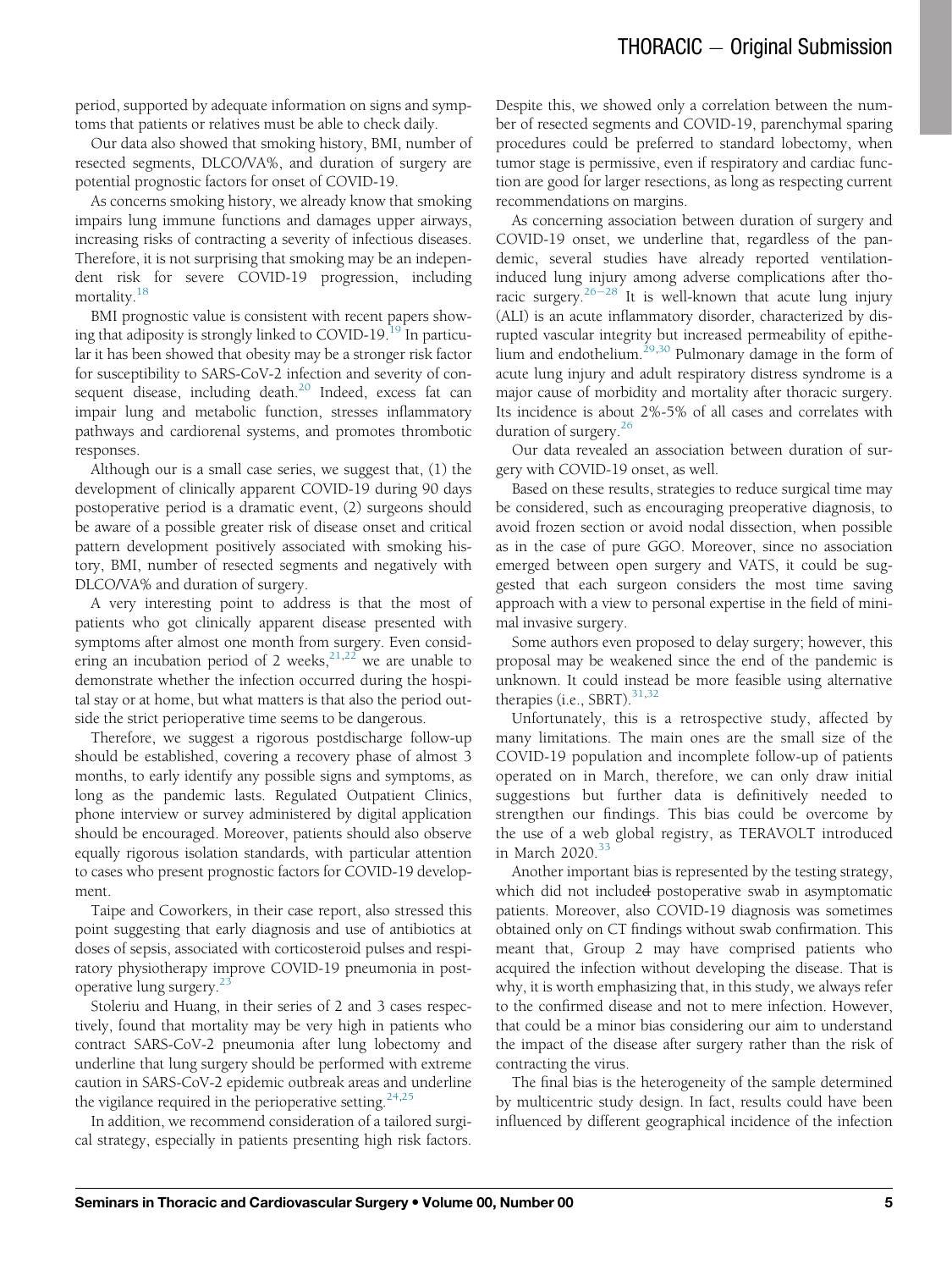period, supported by adequate information on signs and symptoms that patients or relatives must be able to check daily.

Our data also showed that smoking history, BMI, number of resected segments, DLCO/VA%, and duration of surgery are potential prognostic factors for onset of COVID-19.

As concerns smoking history, we already know that smoking impairs lung immune functions and damages upper airways, increasing risks of contracting a severity of infectious diseases. Therefore, it is not surprising that smoking may be an independent risk for severe COVID-19 progression, including mortality.<sup>[18](#page-6-7)</sup>

BMI prognostic value is consistent with recent papers show-ing that adiposity is strongly linked to COVID-[19](#page-6-8).<sup>19</sup> In particular it has been showed that obesity may be a stronger risk factor for susceptibility to SARS-CoV-2 infection and severity of con-sequent disease, including death.<sup>[20](#page-6-9)</sup> Indeed, excess fat can impair lung and metabolic function, stresses inflammatory pathways and cardiorenal systems, and promotes thrombotic responses.

Although our is a small case series, we suggest that, (1) the development of clinically apparent COVID-19 during 90 days postoperative period is a dramatic event, (2) surgeons should be aware of a possible greater risk of disease onset and critical pattern development positively associated with smoking history, BMI, number of resected segments and negatively with DLCO/VA% and duration of surgery.

A very interesting point to address is that the most of patients who got clinically apparent disease presented with symptoms after almost one month from surgery. Even considering an incubation period of 2 weeks,  $21,22$  $21,22$  we are unable to demonstrate whether the infection occurred during the hospital stay or at home, but what matters is that also the period outside the strict perioperative time seems to be dangerous.

Therefore, we suggest a rigorous postdischarge follow-up should be established, covering a recovery phase of almost 3 months, to early identify any possible signs and symptoms, as long as the pandemic lasts. Regulated Outpatient Clinics, phone interview or survey administered by digital application should be encouraged. Moreover, patients should also observe equally rigorous isolation standards, with particular attention to cases who present prognostic factors for COVID-19 development.

Taipe and Coworkers, in their case report, also stressed this point suggesting that early diagnosis and use of antibiotics at doses of sepsis, associated with corticosteroid pulses and respiratory physiotherapy improve COVID-19 pneumonia in postoperative lung surgery. $23$ 

Stoleriu and Huang, in their series of 2 and 3 cases respectively, found that mortality may be very high in patients who contract SARS-CoV-2 pneumonia after lung lobectomy and underline that lung surgery should be performed with extreme caution in SARS-CoV-2 epidemic outbreak areas and underline the vigilance required in the perioperative setting.<sup>[24,](#page-6-13)[25](#page-6-14)</sup>

In addition, we recommend consideration of a tailored surgical strategy, especially in patients presenting high risk factors.

Despite this, we showed only a correlation between the number of resected segments and COVID-19, parenchymal sparing procedures could be preferred to standard lobectomy, when tumor stage is permissive, even if respiratory and cardiac function are good for larger resections, as long as respecting current recommendations on margins.

As concerning association between duration of surgery and COVID-19 onset, we underline that, regardless of the pandemic, several studies have already reported ventilationinduced lung injury among adverse complications after tho-racic surgery.<sup>[26](#page-6-15)-[28](#page-6-15)</sup> It is well-known that acute lung injury (ALI) is an acute inflammatory disorder, characterized by disrupted vascular integrity but increased permeability of epithe-lium and endothelium.<sup>[29,](#page-6-16)[30](#page-6-17)</sup> Pulmonary damage in the form of acute lung injury and adult respiratory distress syndrome is a major cause of morbidity and mortality after thoracic surgery. Its incidence is about 2%-5% of all cases and correlates with duration of surgery.<sup>[26](#page-6-15)</sup>

Our data revealed an association between duration of surgery with COVID-19 onset, as well.

Based on these results, strategies to reduce surgical time may be considered, such as encouraging preoperative diagnosis, to avoid frozen section or avoid nodal dissection, when possible as in the case of pure GGO. Moreover, since no association emerged between open surgery and VATS, it could be suggested that each surgeon considers the most time saving approach with a view to personal expertise in the field of minimal invasive surgery.

Some authors even proposed to delay surgery; however, this proposal may be weakened since the end of the pandemic is unknown. It could instead be more feasible using alternative therapies (i.e., SBRT). $31,32$  $31,32$ 

Unfortunately, this is a retrospective study, affected by many limitations. The main ones are the small size of the COVID-19 population and incomplete follow-up of patients operated on in March, therefore, we can only draw initial suggestions but further data is definitively needed to strengthen our findings. This bias could be overcome by the use of a web global registry, as TERAVOLT introduced in March  $2020^{33}$  $2020^{33}$  $2020^{33}$ 

Another important bias is represented by the testing strategy, which did not included postoperative swab in asymptomatic patients. Moreover, also COVID-19 diagnosis was sometimes obtained only on CT findings without swab confirmation. This meant that, Group 2 may have comprised patients who acquired the infection without developing the disease. That is why, it is worth emphasizing that, in this study, we always refer to the confirmed disease and not to mere infection. However, that could be a minor bias considering our aim to understand the impact of the disease after surgery rather than the risk of contracting the virus.

The final bias is the heterogeneity of the sample determined by multicentric study design. In fact, results could have been influenced by different geographical incidence of the infection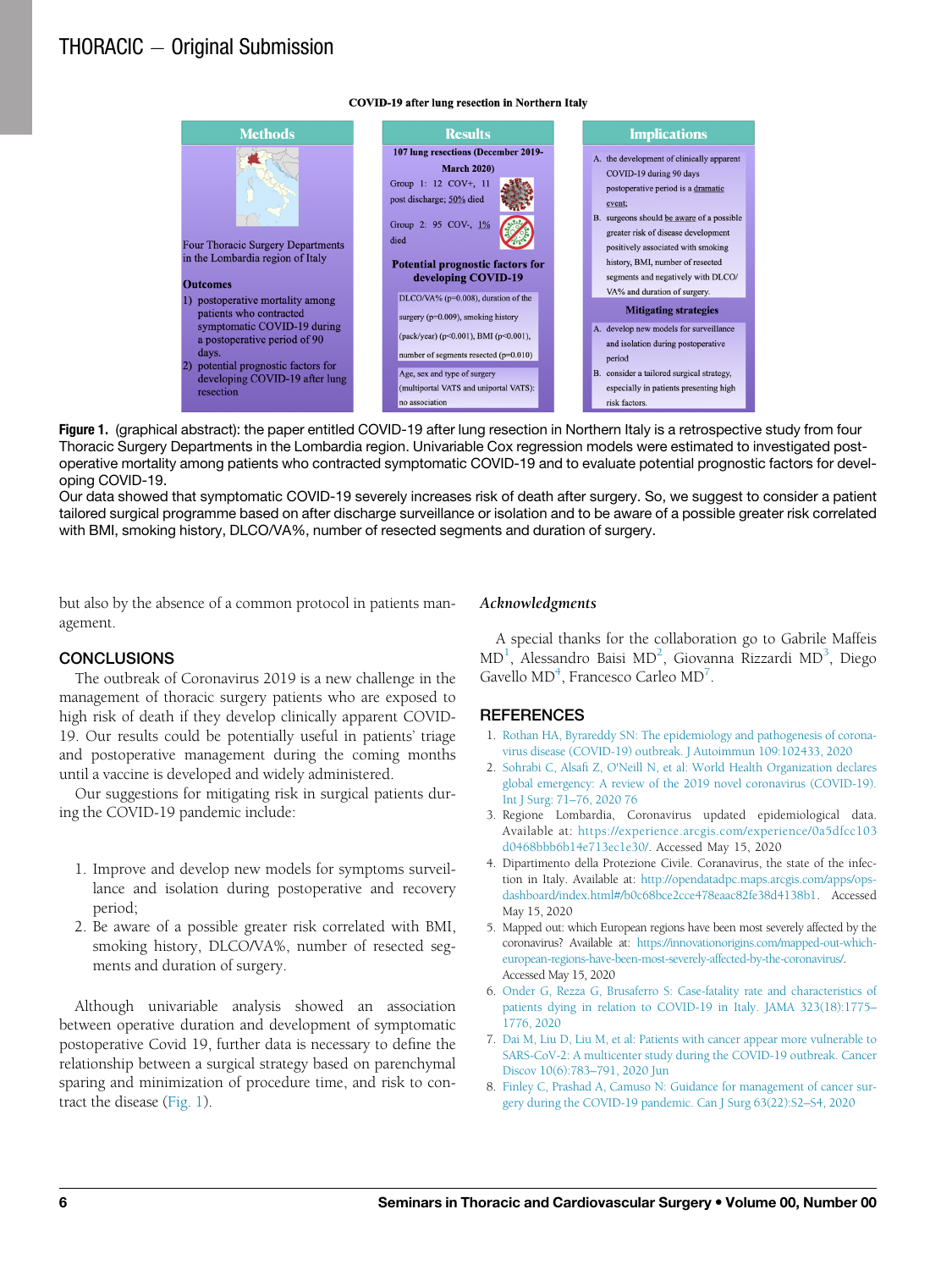#### **COVID-19 after lung resection in Northern Italy**

<span id="page-5-8"></span>

Figure 1. (graphical abstract): the paper entitled COVID-19 after lung resection in Northern Italy is a retrospective study from four Thoracic Surgery Departments in the Lombardia region. Univariable Cox regression models were estimated to investigated postoperative mortality among patients who contracted symptomatic COVID-19 and to evaluate potential prognostic factors for developing COVID-19.

Our data showed that symptomatic COVID-19 severely increases risk of death after surgery. So, we suggest to consider a patient tailored surgical programme based on after discharge surveillance or isolation and to be aware of a possible greater risk correlated with BMI, smoking history, DLCO/VA%, number of resected segments and duration of surgery.

but also by the absence of a common protocol in patients management.

#### Acknowledgments

#### **CONCLUSIONS**

The outbreak of Coronavirus 2019 is a new challenge in the management of thoracic surgery patients who are exposed to high risk of death if they develop clinically apparent COVID-19. Our results could be potentially useful in patients' triage and postoperative management during the coming months until a vaccine is developed and widely administered.

<span id="page-5-2"></span><span id="page-5-1"></span><span id="page-5-0"></span>Our suggestions for mitigating risk in surgical patients during the COVID-19 pandemic include:

- <span id="page-5-3"></span>1. Improve and develop new models for symptoms surveillance and isolation during postoperative and recovery period;
- <span id="page-5-4"></span>2. Be aware of a possible greater risk correlated with BMI, smoking history, DLCO/VA%, number of resected segments and duration of surgery.

<span id="page-5-7"></span><span id="page-5-6"></span><span id="page-5-5"></span>Although univariable analysis showed an association between operative duration and development of symptomatic postoperative Covid 19, further data is necessary to define the relationship between a surgical strategy based on parenchymal sparing and minimization of procedure time, and risk to contract the disease ([Fig. 1\)](#page-5-8).

A special thanks for the collaboration go to Gabrile Maffeis  $\text{MD}^1$  $\text{MD}^1$ , Alessandro Baisi MD<sup>[2](#page-5-1)</sup>, Giovanna Rizzardi MD<sup>[3](#page-5-2)</sup>, Diego Gavello MD<sup>4</sup>, Francesco Carleo MD<sup>[7](#page-5-6)</sup>.

- 1. [Rothan HA, Byrareddy SN: The epidemiology and pathogenesis of corona](http://refhub.elsevier.com/S1043-0679(21)00186-6/sbref0001)[virus disease \(COVID-19\) outbreak. J Autoimmun 109:102433, 2020](http://refhub.elsevier.com/S1043-0679(21)00186-6/sbref0001)
- 2. Sohrabi C, Alsafi [Z, O'Neill N, et al: World Health Organization declares](http://refhub.elsevier.com/S1043-0679(21)00186-6/sbref0002) [global emergency: A review of the 2019 novel coronavirus \(COVID-19\).](http://refhub.elsevier.com/S1043-0679(21)00186-6/sbref0002) [Int J Surg: 71](http://refhub.elsevier.com/S1043-0679(21)00186-6/sbref0002)–76, 2020 76
- 3. Regione Lombardia, Coronavirus updated epidemiological data. Available at: [https://experience.arcgis.com/experience/0a5dfcc103](https://experience.arcgis.com/experience/0a5dfcc103d0468bbb6b14e713ec1e30/) [d0468bbb6b14e713ec1e30/.](https://experience.arcgis.com/experience/0a5dfcc103d0468bbb6b14e713ec1e30/) Accessed May 15, 2020
- 4. Dipartimento della Protezione Civile. Coranavirus, the state of the infection in Italy. Available at: [http://opendatadpc.maps.arcgis.com/apps/ops](http://opendatadpc.maps.arcgis.com/apps/opsdashboard/index.html#/b0c68bce2cce478eaac82fe38d4138b1)[dashboard/index.html#/b0c68bce2cce478eaac82fe38d4138b1.](http://opendatadpc.maps.arcgis.com/apps/opsdashboard/index.html#/b0c68bce2cce478eaac82fe38d4138b1) Accessed May 15, 2020
- 5. Mapped out: which European regions have been most severely affected by the coronavirus? Available at: [https://innovationorigins.com/mapped-out-which](https://innovationorigins.com/mapped-out-which-european-regions-have-been-most-severely-affected-by-the-coronavirus/)[european-regions-have-been-most-severely-affected-by-the-coronavirus/](https://innovationorigins.com/mapped-out-which-european-regions-have-been-most-severely-affected-by-the-coronavirus/). Accessed May 15, 2020
- 6. [Onder G, Rezza G, Brusaferro S: Case-fatality rate and characteristics of](http://refhub.elsevier.com/S1043-0679(21)00186-6/sbref0006) [patients dying in relation to COVID-19 in Italy. JAMA 323\(18\):1775](http://refhub.elsevier.com/S1043-0679(21)00186-6/sbref0006)– [1776, 2020](http://refhub.elsevier.com/S1043-0679(21)00186-6/sbref0006)
- 7. [Dai M, Liu D, Liu M, et al: Patients with cancer appear more vulnerable to](http://refhub.elsevier.com/S1043-0679(21)00186-6/sbref0007) [SARS-CoV-2: A multicenter study during the COVID-19 outbreak. Cancer](http://refhub.elsevier.com/S1043-0679(21)00186-6/sbref0007) [Discov 10\(6\):783](http://refhub.elsevier.com/S1043-0679(21)00186-6/sbref0007)-791, 2020 Jun
- 8. [Finley C, Prashad A, Camuso N: Guidance for management of cancer sur](http://refhub.elsevier.com/S1043-0679(21)00186-6/sbref0008)[gery during the COVID-19 pandemic. Can J Surg 63\(22\):S2](http://refhub.elsevier.com/S1043-0679(21)00186-6/sbref0008)–S4, 2020